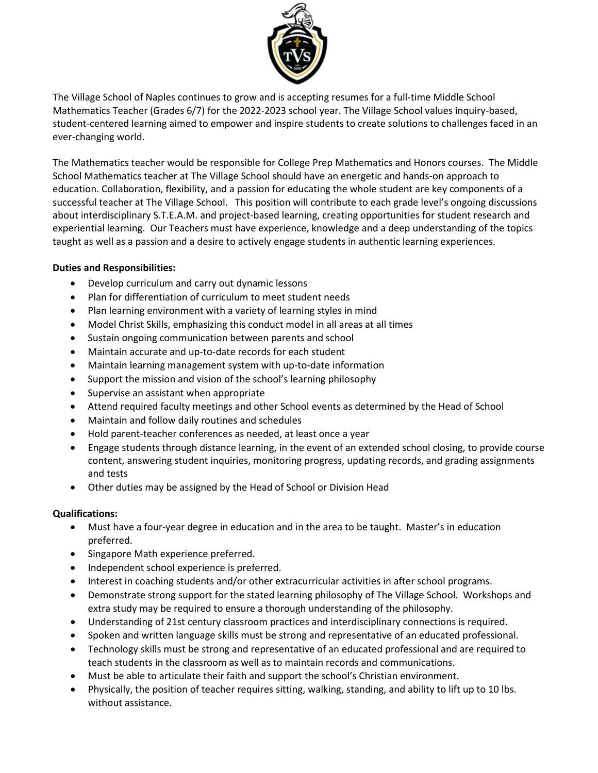

The Village School of Naples continues to grow and is accepting resumes for a full-time Middle School Mathematics Teacher (Grades 6/7) for the 2022-2023 school year. The Village School values inquiry-based, student-centered learning aimed to empower and inspire students to create solutions to challenges faced in an ever-changing world.

The Mathematics teacher would be responsible for College Prep Mathematics and Honors courses. The Middle School Mathematics teacher at The Village School should have an energetic and hands-on approach to education. Collaboration, flexibility, and a passion for educating the whole student are key components of a successful teacher at The Village School. This position will contribute to each grade level's ongoing discussions about interdisciplinary S.T.E.A.M. and project-based learning, creating opportunities for student research and experiential learning. Our Teachers must have experience, knowledge and a deep understanding of the topics taught as well as a passion and a desire to actively engage students in authentic learning experiences.

# **Duties and Responsibilities:**

- Develop curriculum and carry out dynamic lessons
- Plan for differentiation of curriculum to meet student needs
- Plan learning environment with a variety of learning styles in mind
- Model Christ Skills, emphasizing this conduct model in all areas at all times
- Sustain ongoing communication between parents and school
- Maintain accurate and up-to-date records for each student
- Maintain learning management system with up-to-date information
- Support the mission and vision of the school's learning philosophy
- Supervise an assistant when appropriate
- Attend required faculty meetings and other School events as determined by the Head of School
- Maintain and follow daily routines and schedules
- Hold parent-teacher conferences as needed, at least once a year
- Engage students through distance learning, in the event of an extended school closing, to provide course content, answering student inquiries, monitoring progress, updating records, and grading assignments and tests
- Other duties may be assigned by the Head of School or Division Head

## **Qualifications:**

- Must have a four-year degree in education and in the area to be taught. Master's in education preferred.
- Singapore Math experience preferred.
- Independent school experience is preferred.
- Interest in coaching students and/or other extracurricular activities in after school programs.
- Demonstrate strong support for the stated learning philosophy of The Village School. Workshops and extra study may be required to ensure a thorough understanding of the philosophy.
- Understanding of 21st century classroom practices and interdisciplinary connections is required.
- Spoken and written language skills must be strong and representative of an educated professional.
- Technology skills must be strong and representative of an educated professional and are required to teach students in the classroom as well as to maintain records and communications.
- Must be able to articulate their faith and support the school's Christian environment.
- Physically, the position of teacher requires sitting, walking, standing, and ability to lift up to 10 lbs. without assistance.